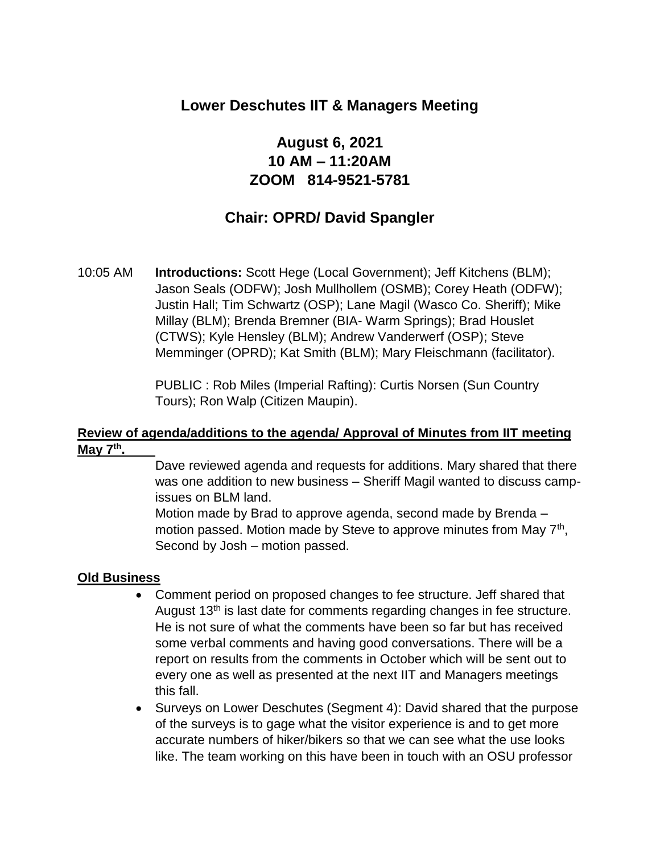## **Lower Deschutes IIT & Managers Meeting**

# **August 6, 2021 10 AM – 11:20AM ZOOM 814-9521-5781**

# **Chair: OPRD/ David Spangler**

10:05 AM **Introductions:** Scott Hege (Local Government); Jeff Kitchens (BLM); Jason Seals (ODFW); Josh Mullhollem (OSMB); Corey Heath (ODFW); Justin Hall; Tim Schwartz (OSP); Lane Magil (Wasco Co. Sheriff); Mike Millay (BLM); Brenda Bremner (BIA- Warm Springs); Brad Houslet (CTWS); Kyle Hensley (BLM); Andrew Vanderwerf (OSP); Steve Memminger (OPRD); Kat Smith (BLM); Mary Fleischmann (facilitator).

> PUBLIC : Rob Miles (Imperial Rafting): Curtis Norsen (Sun Country Tours); Ron Walp (Citizen Maupin).

#### **Review of agenda/additions to the agenda/ Approval of Minutes from IIT meeting May 7th .**

Dave reviewed agenda and requests for additions. Mary shared that there was one addition to new business – Sheriff Magil wanted to discuss campissues on BLM land.

Motion made by Brad to approve agenda, second made by Brenda – motion passed. Motion made by Steve to approve minutes from May 7<sup>th</sup>, Second by Josh – motion passed.

#### **Old Business**

- Comment period on proposed changes to fee structure. Jeff shared that August 13<sup>th</sup> is last date for comments regarding changes in fee structure. He is not sure of what the comments have been so far but has received some verbal comments and having good conversations. There will be a report on results from the comments in October which will be sent out to every one as well as presented at the next IIT and Managers meetings this fall.
- Surveys on Lower Deschutes (Segment 4): David shared that the purpose of the surveys is to gage what the visitor experience is and to get more accurate numbers of hiker/bikers so that we can see what the use looks like. The team working on this have been in touch with an OSU professor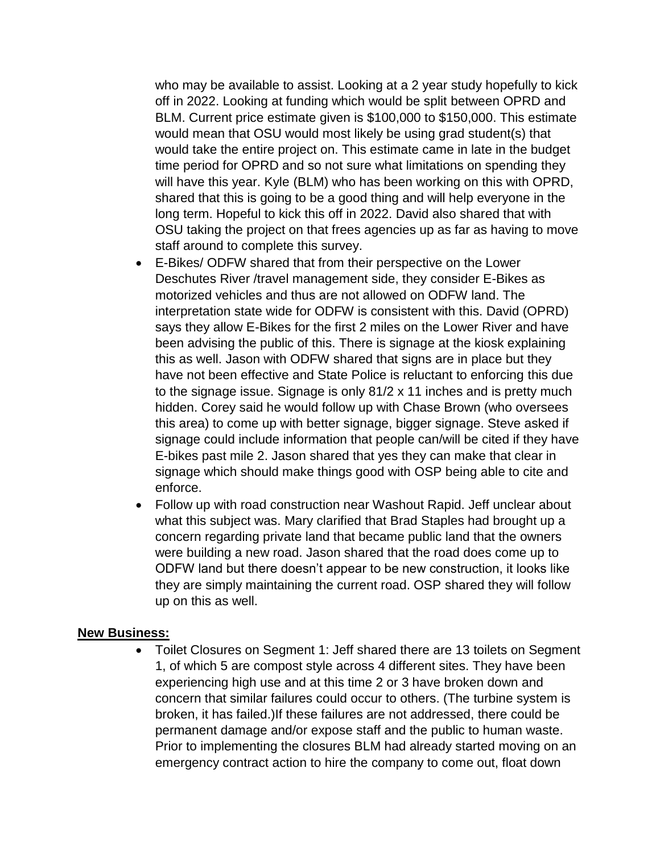who may be available to assist. Looking at a 2 year study hopefully to kick off in 2022. Looking at funding which would be split between OPRD and BLM. Current price estimate given is \$100,000 to \$150,000. This estimate would mean that OSU would most likely be using grad student(s) that would take the entire project on. This estimate came in late in the budget time period for OPRD and so not sure what limitations on spending they will have this year. Kyle (BLM) who has been working on this with OPRD, shared that this is going to be a good thing and will help everyone in the long term. Hopeful to kick this off in 2022. David also shared that with OSU taking the project on that frees agencies up as far as having to move staff around to complete this survey.

- E-Bikes/ ODFW shared that from their perspective on the Lower Deschutes River /travel management side, they consider E-Bikes as motorized vehicles and thus are not allowed on ODFW land. The interpretation state wide for ODFW is consistent with this. David (OPRD) says they allow E-Bikes for the first 2 miles on the Lower River and have been advising the public of this. There is signage at the kiosk explaining this as well. Jason with ODFW shared that signs are in place but they have not been effective and State Police is reluctant to enforcing this due to the signage issue. Signage is only 81/2 x 11 inches and is pretty much hidden. Corey said he would follow up with Chase Brown (who oversees this area) to come up with better signage, bigger signage. Steve asked if signage could include information that people can/will be cited if they have E-bikes past mile 2. Jason shared that yes they can make that clear in signage which should make things good with OSP being able to cite and enforce.
- Follow up with road construction near Washout Rapid. Jeff unclear about what this subject was. Mary clarified that Brad Staples had brought up a concern regarding private land that became public land that the owners were building a new road. Jason shared that the road does come up to ODFW land but there doesn't appear to be new construction, it looks like they are simply maintaining the current road. OSP shared they will follow up on this as well.

#### **New Business:**

• Toilet Closures on Segment 1: Jeff shared there are 13 toilets on Segment 1, of which 5 are compost style across 4 different sites. They have been experiencing high use and at this time 2 or 3 have broken down and concern that similar failures could occur to others. (The turbine system is broken, it has failed.)If these failures are not addressed, there could be permanent damage and/or expose staff and the public to human waste. Prior to implementing the closures BLM had already started moving on an emergency contract action to hire the company to come out, float down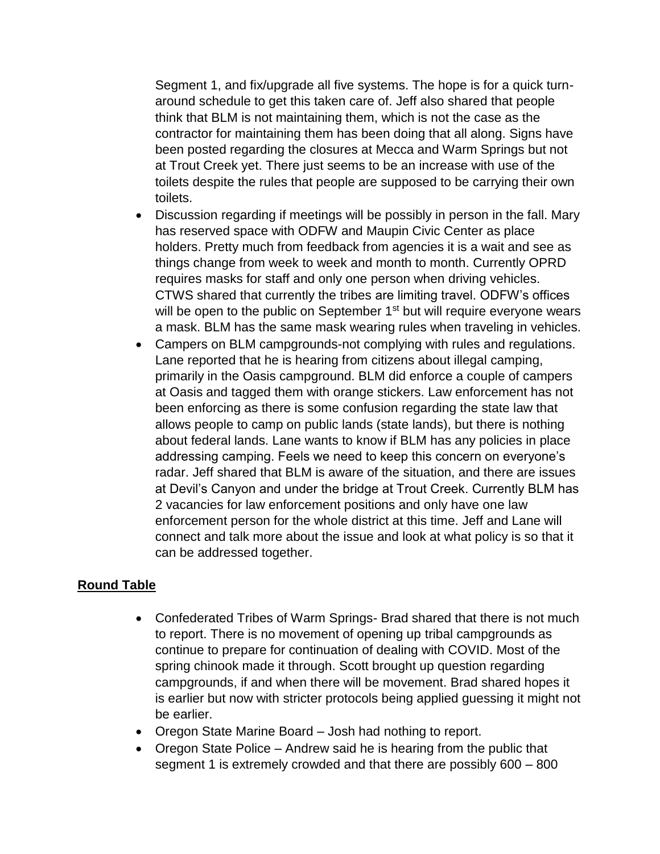Segment 1, and fix/upgrade all five systems. The hope is for a quick turnaround schedule to get this taken care of. Jeff also shared that people think that BLM is not maintaining them, which is not the case as the contractor for maintaining them has been doing that all along. Signs have been posted regarding the closures at Mecca and Warm Springs but not at Trout Creek yet. There just seems to be an increase with use of the toilets despite the rules that people are supposed to be carrying their own toilets.

- Discussion regarding if meetings will be possibly in person in the fall. Mary has reserved space with ODFW and Maupin Civic Center as place holders. Pretty much from feedback from agencies it is a wait and see as things change from week to week and month to month. Currently OPRD requires masks for staff and only one person when driving vehicles. CTWS shared that currently the tribes are limiting travel. ODFW's offices will be open to the public on September 1<sup>st</sup> but will require everyone wears a mask. BLM has the same mask wearing rules when traveling in vehicles.
- Campers on BLM campgrounds-not complying with rules and regulations. Lane reported that he is hearing from citizens about illegal camping, primarily in the Oasis campground. BLM did enforce a couple of campers at Oasis and tagged them with orange stickers. Law enforcement has not been enforcing as there is some confusion regarding the state law that allows people to camp on public lands (state lands), but there is nothing about federal lands. Lane wants to know if BLM has any policies in place addressing camping. Feels we need to keep this concern on everyone's radar. Jeff shared that BLM is aware of the situation, and there are issues at Devil's Canyon and under the bridge at Trout Creek. Currently BLM has 2 vacancies for law enforcement positions and only have one law enforcement person for the whole district at this time. Jeff and Lane will connect and talk more about the issue and look at what policy is so that it can be addressed together.

### **Round Table**

- Confederated Tribes of Warm Springs- Brad shared that there is not much to report. There is no movement of opening up tribal campgrounds as continue to prepare for continuation of dealing with COVID. Most of the spring chinook made it through. Scott brought up question regarding campgrounds, if and when there will be movement. Brad shared hopes it is earlier but now with stricter protocols being applied guessing it might not be earlier.
- Oregon State Marine Board Josh had nothing to report.
- Oregon State Police Andrew said he is hearing from the public that segment 1 is extremely crowded and that there are possibly 600 – 800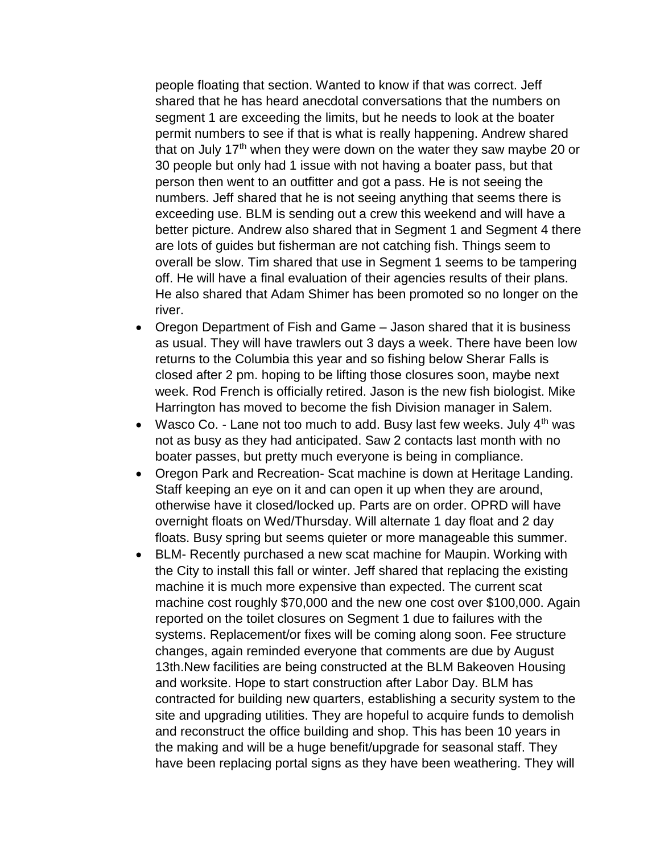people floating that section. Wanted to know if that was correct. Jeff shared that he has heard anecdotal conversations that the numbers on segment 1 are exceeding the limits, but he needs to look at the boater permit numbers to see if that is what is really happening. Andrew shared that on July 17<sup>th</sup> when they were down on the water they saw maybe 20 or 30 people but only had 1 issue with not having a boater pass, but that person then went to an outfitter and got a pass. He is not seeing the numbers. Jeff shared that he is not seeing anything that seems there is exceeding use. BLM is sending out a crew this weekend and will have a better picture. Andrew also shared that in Segment 1 and Segment 4 there are lots of guides but fisherman are not catching fish. Things seem to overall be slow. Tim shared that use in Segment 1 seems to be tampering off. He will have a final evaluation of their agencies results of their plans. He also shared that Adam Shimer has been promoted so no longer on the river.

- Oregon Department of Fish and Game Jason shared that it is business as usual. They will have trawlers out 3 days a week. There have been low returns to the Columbia this year and so fishing below Sherar Falls is closed after 2 pm. hoping to be lifting those closures soon, maybe next week. Rod French is officially retired. Jason is the new fish biologist. Mike Harrington has moved to become the fish Division manager in Salem.
- Wasco Co. Lane not too much to add. Busy last few weeks. July  $4<sup>th</sup>$  was not as busy as they had anticipated. Saw 2 contacts last month with no boater passes, but pretty much everyone is being in compliance.
- Oregon Park and Recreation- Scat machine is down at Heritage Landing. Staff keeping an eye on it and can open it up when they are around, otherwise have it closed/locked up. Parts are on order. OPRD will have overnight floats on Wed/Thursday. Will alternate 1 day float and 2 day floats. Busy spring but seems quieter or more manageable this summer.
- BLM- Recently purchased a new scat machine for Maupin. Working with the City to install this fall or winter. Jeff shared that replacing the existing machine it is much more expensive than expected. The current scat machine cost roughly \$70,000 and the new one cost over \$100,000. Again reported on the toilet closures on Segment 1 due to failures with the systems. Replacement/or fixes will be coming along soon. Fee structure changes, again reminded everyone that comments are due by August 13th.New facilities are being constructed at the BLM Bakeoven Housing and worksite. Hope to start construction after Labor Day. BLM has contracted for building new quarters, establishing a security system to the site and upgrading utilities. They are hopeful to acquire funds to demolish and reconstruct the office building and shop. This has been 10 years in the making and will be a huge benefit/upgrade for seasonal staff. They have been replacing portal signs as they have been weathering. They will